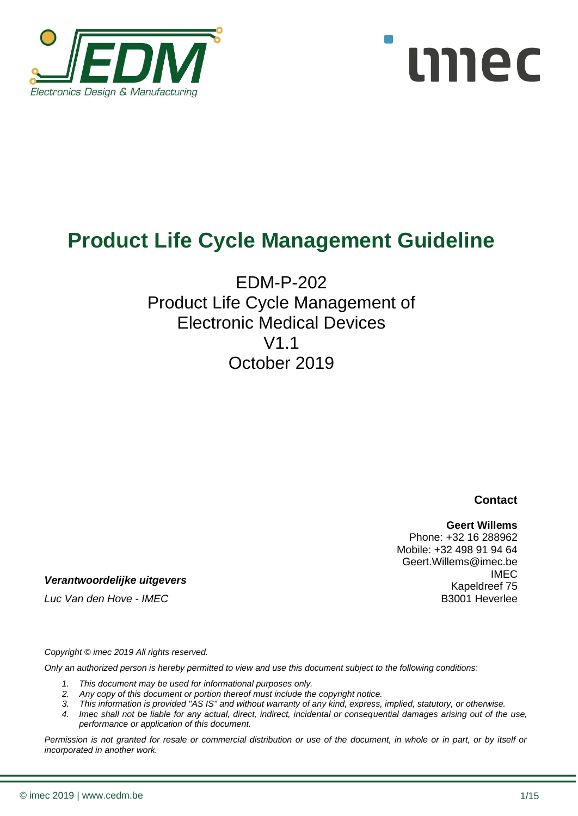



# **Product Life Cycle Management Guideline**

## EDM-P-202 Product Life Cycle Management of Electronic Medical Devices  $V1$ October 2019

**Contact**

#### **Geert Willems**

Phone: +32 16 288962 Mobile: +32 498 91 94 64 Geert.Willems@imec.be IMEC Kapeldreef 75 B3001 Heverlee

*Verantwoordelijke uitgevers*

*Luc Van den Hove - IMEC*

*Copyright © imec 2019 All rights reserved.* 

*Only an authorized person is hereby permitted to view and use this document subject to the following conditions:* 

- *1. This document may be used for informational purposes only.*
- *2. Any copy of this document or portion thereof must include the copyright notice.*
- *3. This information is provided "AS IS" and without warranty of any kind, express, implied, statutory, or otherwise.*
- *4. Imec shall not be liable for any actual, direct, indirect, incidental or consequential damages arising out of the use, performance or application of this document.*

*Permission is not granted for resale or commercial distribution or use of the document, in whole or in part, or by itself or incorporated in another work.*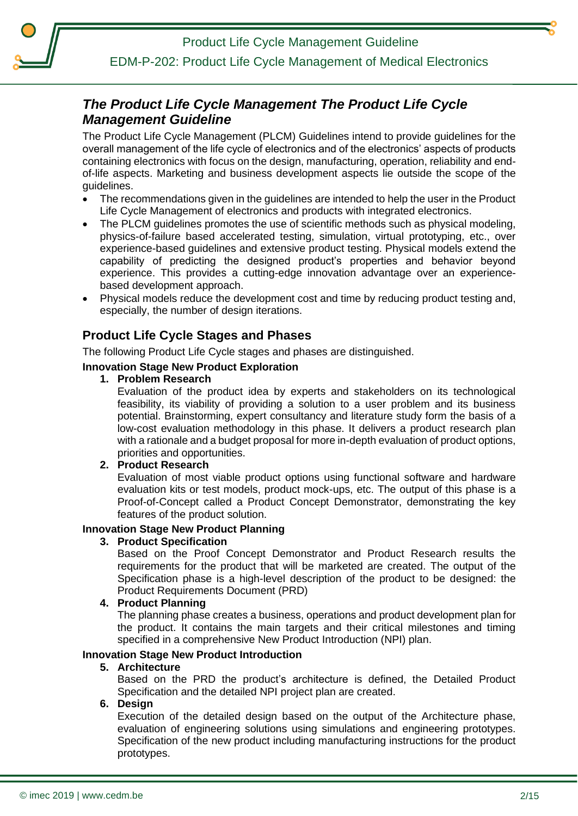Product Life Cycle Management Guideline

## EDM-P-202: Product Life Cycle Management of Medical Electronics

## <span id="page-1-0"></span>*The Product Life Cycle Management The Product Life Cycle Management Guideline*

The Product Life Cycle Management (PLCM) Guidelines intend to provide guidelines for the overall management of the life cycle of electronics and of the electronics' aspects of products containing electronics with focus on the design, manufacturing, operation, reliability and endof-life aspects. Marketing and business development aspects lie outside the scope of the guidelines.

- The recommendations given in the guidelines are intended to help the user in the Product Life Cycle Management of electronics and products with integrated electronics.
- The PLCM guidelines promotes the use of scientific methods such as physical modeling, physics-of-failure based accelerated testing, simulation, virtual prototyping, etc., over experience-based guidelines and extensive product testing. Physical models extend the capability of predicting the designed product's properties and behavior beyond experience. This provides a cutting-edge innovation advantage over an experiencebased development approach.
- Physical models reduce the development cost and time by reducing product testing and, especially, the number of design iterations.

## **Product Life Cycle Stages and Phases**

The following Product Life Cycle stages and phases are distinguished.

#### **Innovation Stage New Product Exploration**

#### **1. Problem Research**

Evaluation of the product idea by experts and stakeholders on its technological feasibility, its viability of providing a solution to a user problem and its business potential. Brainstorming, expert consultancy and literature study form the basis of a low-cost evaluation methodology in this phase. It delivers a product research plan with a rationale and a budget proposal for more in-depth evaluation of product options, priorities and opportunities.

#### **2. Product Research**

Evaluation of most viable product options using functional software and hardware evaluation kits or test models, product mock-ups, etc. The output of this phase is a Proof-of-Concept called a Product Concept Demonstrator, demonstrating the key features of the product solution.

#### **Innovation Stage New Product Planning**

#### **3. Product Specification**

Based on the Proof Concept Demonstrator and Product Research results the requirements for the product that will be marketed are created. The output of the Specification phase is a high-level description of the product to be designed: the Product Requirements Document (PRD)

#### **4. Product Planning**

The planning phase creates a business, operations and product development plan for the product. It contains the main targets and their critical milestones and timing specified in a comprehensive New Product Introduction (NPI) plan.

#### **Innovation Stage New Product Introduction**

#### **5. Architecture**

Based on the PRD the product's architecture is defined, the Detailed Product Specification and the detailed NPI project plan are created.

#### **6. Design**

Execution of the detailed design based on the output of the Architecture phase, evaluation of engineering solutions using simulations and engineering prototypes. Specification of the new product including manufacturing instructions for the product prototypes.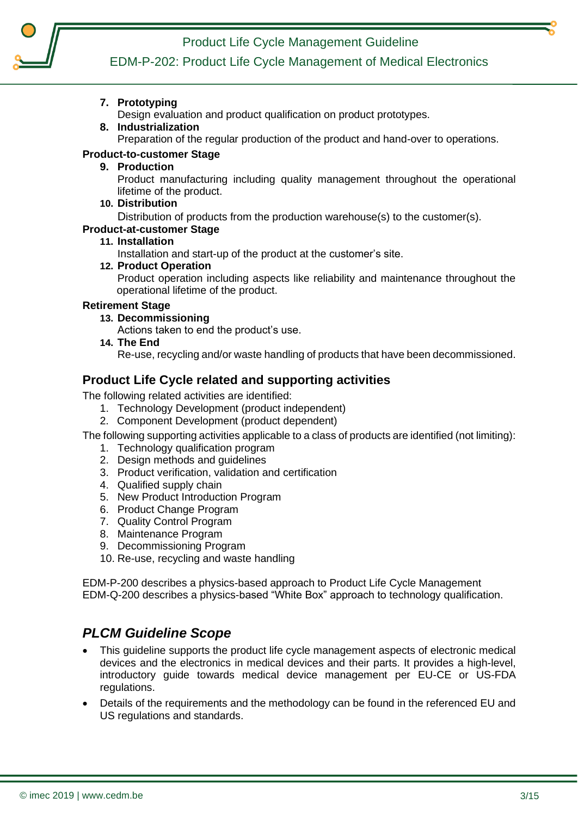Product Life Cycle Management Guideline



## EDM-P-202: Product Life Cycle Management of Medical Electronics

**7. Prototyping**

Design evaluation and product qualification on product prototypes.

#### **8. Industrialization**

Preparation of the regular production of the product and hand-over to operations.

#### **Product-to-customer Stage**

#### **9. Production**

Product manufacturing including quality management throughout the operational lifetime of the product.

**10. Distribution**

Distribution of products from the production warehouse(s) to the customer(s).

#### **Product-at-customer Stage**

**11. Installation**

Installation and start-up of the product at the customer's site.

**12. Product Operation**

Product operation including aspects like reliability and maintenance throughout the operational lifetime of the product.

#### **Retirement Stage**

**13. Decommissioning**

Actions taken to end the product's use.

**14. The End** 

Re-use, recycling and/or waste handling of products that have been decommissioned.

### **Product Life Cycle related and supporting activities**

The following related activities are identified:

- 1. Technology Development (product independent)
- 2. Component Development (product dependent)

The following supporting activities applicable to a class of products are identified (not limiting):

- 1. Technology qualification program
- 2. Design methods and guidelines
- 3. Product verification, validation and certification
- 4. Qualified supply chain
- 5. New Product Introduction Program
- 6. Product Change Program
- 7. Quality Control Program
- 8. Maintenance Program
- 9. Decommissioning Program
- 10. Re-use, recycling and waste handling

EDM-P-200 describes a physics-based approach to Product Life Cycle Management EDM-Q-200 describes a physics-based "White Box" approach to technology qualification.

## <span id="page-2-0"></span>*PLCM Guideline Scope*

- This guideline supports the product life cycle management aspects of electronic medical devices and the electronics in medical devices and their parts. It provides a high-level, introductory guide towards medical device management per EU-CE or US-FDA regulations.
- Details of the requirements and the methodology can be found in the referenced EU and US regulations and standards.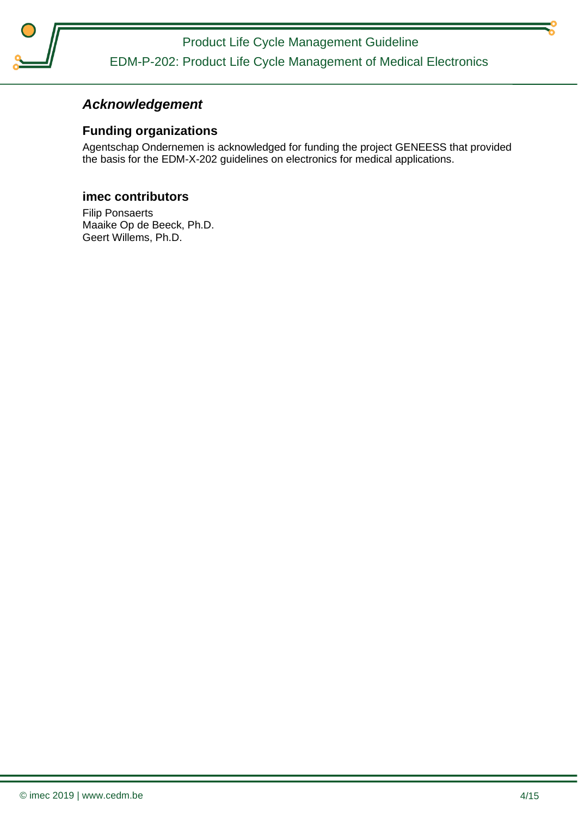Product Life Cycle Management Guideline EDM-P-202: Product Life Cycle Management of Medical Electronics

## <span id="page-3-0"></span>*Acknowledgement*

### **Funding organizations**

Agentschap Ondernemen is acknowledged for funding the project GENEESS that provided the basis for the EDM-X-202 guidelines on electronics for medical applications.

#### **imec contributors**

Filip Ponsaerts Maaike Op de Beeck, Ph.D. Geert Willems, Ph.D.